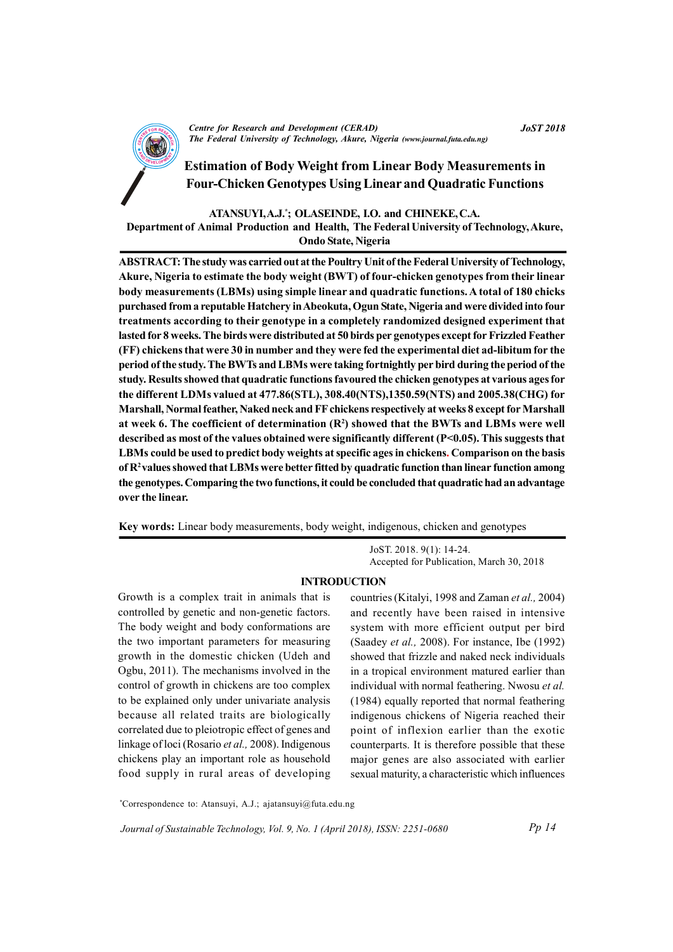

CENTRE FOR RESEARCH AND DEVELOPMENT (CENTRE)<br>The Federal University of Technology, Akure, Nigeria (www.journal.futa.edu.ng) Centre for Research and Development (CERAD)

# Estimation of Body Weight from Linear Body Measurements in Four-Chicken Genotypes Using Linear and Quadratic Functions

### ATANSUYI, A.J.\* ; OLASEINDE, I.O. and CHINEKE, C.A.

Department of Animal Production and Health, The Federal University of Technology, Akure, Ondo State, Nigeria

ABSTRACT: The study was carried out at the Poultry Unit of the Federal University of Technology, Akure, Nigeria to estimate the body weight (BWT) of four-chicken genotypes from their linear body measurements (LBMs) using simple linear and quadratic functions. A total of 180 chicks purchased from a reputable Hatchery in Abeokuta, Ogun State, Nigeria and were divided into four treatments according to their genotype in a completely randomized designed experiment that lasted for 8 weeks. The birds were distributed at 50 birds per genotypes except for Frizzled Feather (FF) chickens that were 30 in number and they were fed the experimental diet ad-libitum for the period of the study. The BWTs and LBMs were taking fortnightly per bird during the period of the study. Results showed that quadratic functions favoured the chicken genotypes at various ages for the different LDMs valued at 477.86(STL), 308.40(NTS),1350.59(NTS) and 2005.38(CHG) for Marshall, Normal feather, Naked neck and FF chickens respectively at weeks 8 except for Marshall at week 6. The coefficient of determination  $(R^2)$  showed that the BWTs and LBMs were well described as most of the values obtained were significantly different (P<0.05). This suggests that LBMs could be used to predict body weights at specific ages in chickens. Comparison on the basis of  $R<sup>2</sup>$  values showed that LBMs were better fitted by quadratic function than linear function among the genotypes. Comparing the two functions, it could be concluded that quadratic had an advantage over the linear.

Key words: Linear body measurements, body weight, indigenous, chicken and genotypes

JoST. 2018. 9(1): 14-24. Accepted for Publication, March 30, 2018

### INTRODUCTION

Growth is a complex trait in animals that is controlled by genetic and non-genetic factors. The body weight and body conformations are the two important parameters for measuring growth in the domestic chicken (Udeh and Ogbu, 2011). The mechanisms involved in the control of growth in chickens are too complex to be explained only under univariate analysis because all related traits are biologically correlated due to pleiotropic effect of genes and linkage of loci (Rosario et al., 2008). Indigenous chickens play an important role as household food supply in rural areas of developing countries (Kitalyi, 1998 and Zaman et al., 2004) and recently have been raised in intensive system with more efficient output per bird (Saadey et al., 2008). For instance, Ibe (1992) showed that frizzle and naked neck individuals in a tropical environment matured earlier than individual with normal feathering. Nwosu et al. (1984) equally reported that normal feathering indigenous chickens of Nigeria reached their point of inflexion earlier than the exotic counterparts. It is therefore possible that these major genes are also associated with earlier sexual maturity, a characteristic which influences

\*Correspondence to: Atansuyi, A.J.; ajatansuyi@futa.edu.ng

Journal of Sustainable Technology, Vol. 9, No. 1 (April 2018), ISSN: 2251-0680

JoST 2018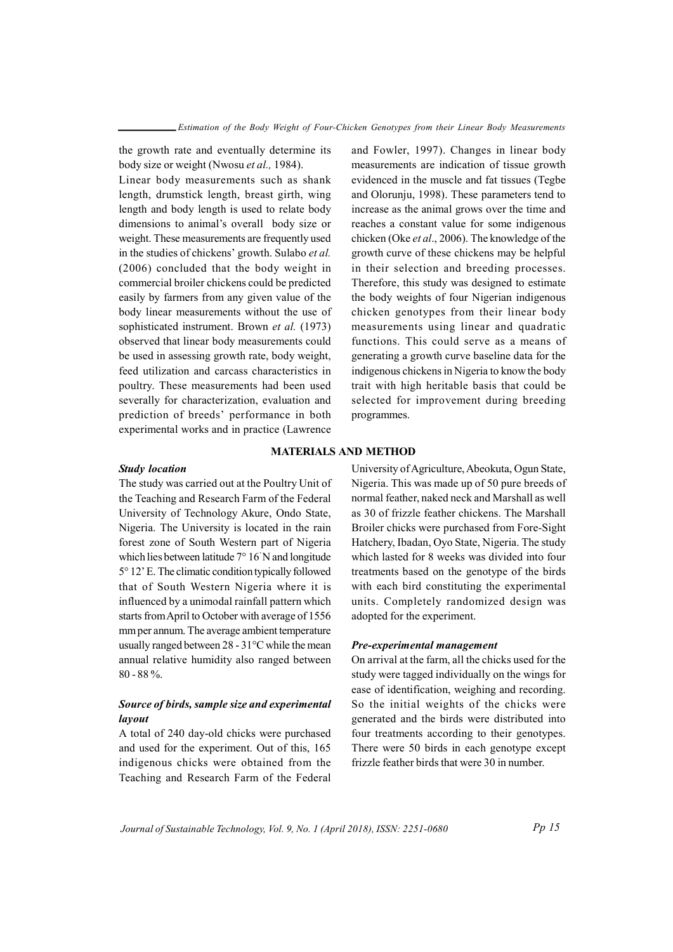the growth rate and eventually determine its body size or weight (Nwosu et al., 1984).

Linear body measurements such as shank length, drumstick length, breast girth, wing length and body length is used to relate body dimensions to animal's overall body size or weight. These measurements are frequently used in the studies of chickens' growth. Sulabo et al. (2006) concluded that the body weight in commercial broiler chickens could be predicted easily by farmers from any given value of the body linear measurements without the use of sophisticated instrument. Brown et al. (1973) observed that linear body measurements could be used in assessing growth rate, body weight, feed utilization and carcass characteristics in poultry. These measurements had been used severally for characterization, evaluation and prediction of breeds' performance in both experimental works and in practice (Lawrence

and Fowler, 1997). Changes in linear body measurements are indication of tissue growth evidenced in the muscle and fat tissues (Tegbe and Olorunju, 1998). These parameters tend to increase as the animal grows over the time and reaches a constant value for some indigenous chicken (Oke et al., 2006). The knowledge of the growth curve of these chickens may be helpful in their selection and breeding processes. Therefore, this study was designed to estimate the body weights of four Nigerian indigenous chicken genotypes from their linear body measurements using linear and quadratic functions. This could serve as a means of generating a growth curve baseline data for the indigenous chickens in Nigeria to know the body trait with high heritable basis that could be selected for improvement during breeding programmes.

### MATERIALS AND METHOD

### Study location

The study was carried out at the Poultry Unit of the Teaching and Research Farm of the Federal University of Technology Akure, Ondo State, Nigeria. The University is located in the rain forest zone of South Western part of Nigeria which lies between latitude 7° 16' N and longitude 5° 12' E. The climatic condition typically followed that of South Western Nigeria where it is influenced by a unimodal rainfall pattern which starts from April to October with average of 1556 mm per annum. The average ambient temperature usually ranged between 28 - 31°C while the mean annual relative humidity also ranged between 80 - 88 %.

## Source of birds, sample size and experimental layout

A total of 240 day-old chicks were purchased and used for the experiment. Out of this, 165 indigenous chicks were obtained from the Teaching and Research Farm of the Federal

University of Agriculture, Abeokuta, Ogun State, Nigeria. This was made up of 50 pure breeds of normal feather, naked neck and Marshall as well as 30 of frizzle feather chickens. The Marshall Broiler chicks were purchased from Fore-Sight Hatchery, Ibadan, Oyo State, Nigeria. The study which lasted for 8 weeks was divided into four treatments based on the genotype of the birds with each bird constituting the experimental units. Completely randomized design was adopted for the experiment.

### Pre-experimental management

On arrival at the farm, all the chicks used for the study were tagged individually on the wings for ease of identification, weighing and recording. So the initial weights of the chicks were generated and the birds were distributed into four treatments according to their genotypes. There were 50 birds in each genotype except frizzle feather birds that were 30 in number.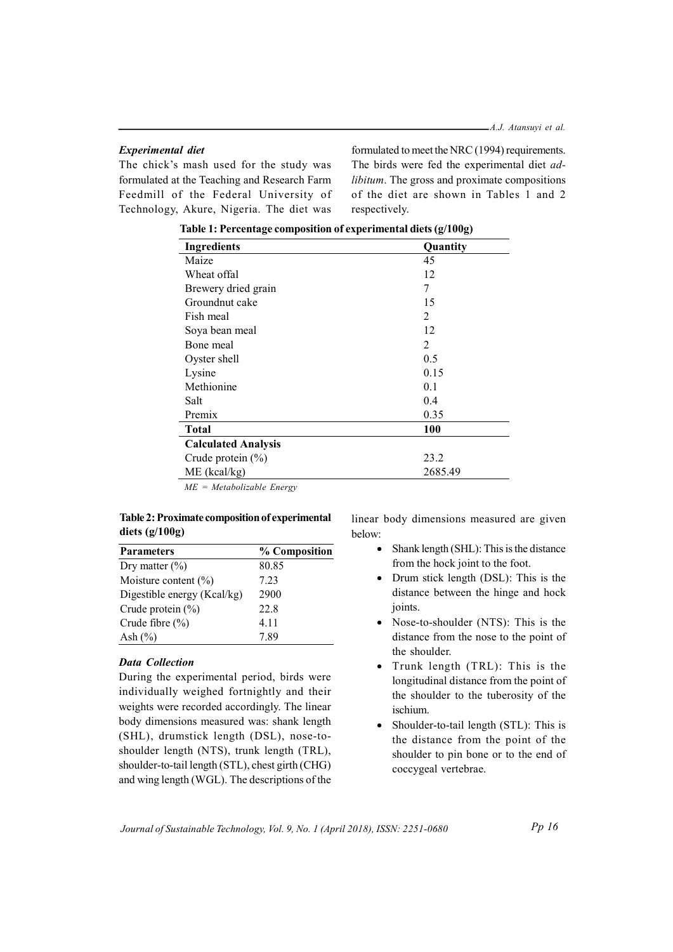### Experimental diet

The chick's mash used for the study was formulated at the Teaching and Research Farm Feedmill of the Federal University of Technology, Akure, Nigeria. The diet was

formulated to meet the NRC (1994) requirements. The birds were fed the experimental diet adlibitum. The gross and proximate compositions of the diet are shown in Tables 1 and 2 respectively.

| Ingredients                | Quantity   |
|----------------------------|------------|
| Maize                      | 45         |
| Wheat offal                | 12         |
| Brewery dried grain        | 7          |
| Groundnut cake             | 15         |
| Fish meal                  | 2          |
| Soya bean meal             | 12         |
| Bone meal                  | 2          |
| Oyster shell               | 0.5        |
| Lysine                     | 0.15       |
| Methionine                 | 0.1        |
| Salt                       | 0.4        |
| Premix                     | 0.35       |
| <b>Total</b>               | <b>100</b> |
| <b>Calculated Analysis</b> |            |
| Crude protein $(\%)$       | 23.2       |
| $ME$ (kcal/kg)             | 2685.49    |

Table 1: Percentage composition of experimental diets (g/100g)

ME = Metabolizable Energy

## Table 2: Proximate composition of experimental diets (g/100g)

| % Composition | • Shank length $(SHL)$ : This is the distance |
|---------------|-----------------------------------------------|
| 80.85         | from the hock joint to the foot.              |
| 7.23          | • Drum stick length (DSL): This is the        |
| 2900          | distance between the hinge and hock           |
| 22.8          | joints.                                       |
| 4.11          | • Nose-to-shoulder (NTS): This is the         |
| 7.89          | distance from the nose to the point of        |
|               |                                               |

## Data Collection

During the experimental period, birds were individually weighed fortnightly and their weights were recorded accordingly. The linear body dimensions measured was: shank length (SHL), drumstick length (DSL), nose-toshoulder length (NTS), trunk length (TRL), shoulder-to-tail length (STL), chest girth (CHG) and wing length (WGL). The descriptions of the linear body dimensions measured are given below:

- from the hock joint to the foot.
- Drum stick length (DSL): This is the distance between the hinge and hock joints.
- Nose-to-shoulder (NTS): This is the distance from the nose to the point of the shoulder.
- Trunk length (TRL): This is the longitudinal distance from the point of the shoulder to the tuberosity of the ischium.
- Shoulder-to-tail length (STL): This is the distance from the point of the shoulder to pin bone or to the end of coccygeal vertebrae.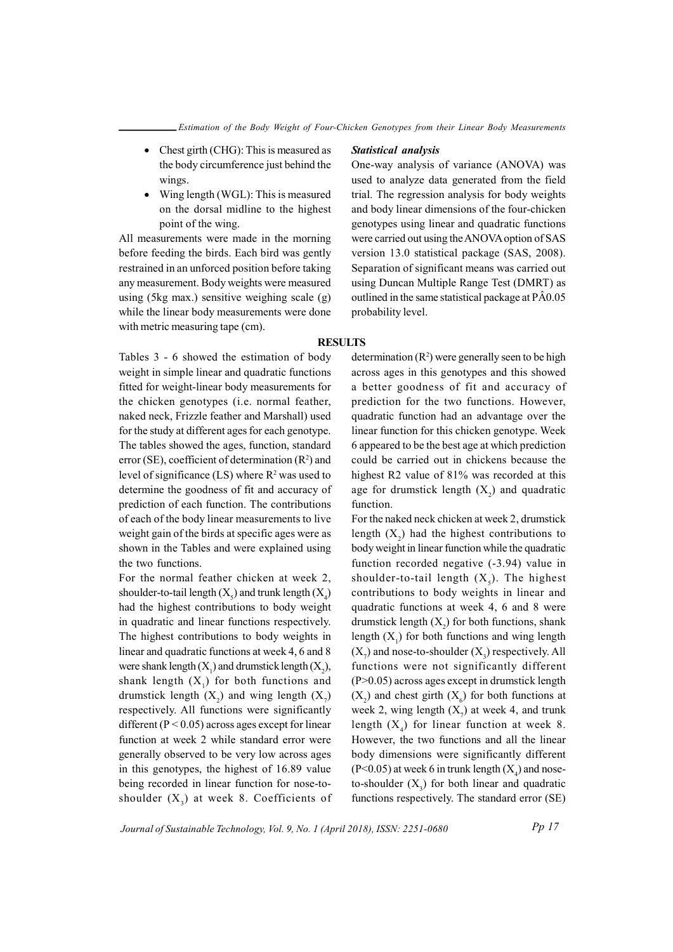- Chest girth (CHG): This is measured as the body circumference just behind the wings.
- Wing length (WGL): This is measured on the dorsal midline to the highest point of the wing.

All measurements were made in the morning before feeding the birds. Each bird was gently restrained in an unforced position before taking any measurement. Body weights were measured using (5kg max.) sensitive weighing scale (g) while the linear body measurements were done with metric measuring tape (cm).

Tables 3 - 6 showed the estimation of body weight in simple linear and quadratic functions fitted for weight-linear body measurements for the chicken genotypes (i.e. normal feather, naked neck, Frizzle feather and Marshall) used for the study at different ages for each genotype. The tables showed the ages, function, standard error (SE), coefficient of determination  $(R^2)$  and level of significance  $(LS)$  where  $R^2$  was used to determine the goodness of fit and accuracy of prediction of each function. The contributions of each of the body linear measurements to live weight gain of the birds at specific ages were as shown in the Tables and were explained using the two functions.

For the normal feather chicken at week 2, shoulder-to-tail length  $(X_5)$  and trunk length  $(X_4)$ had the highest contributions to body weight in quadratic and linear functions respectively. The highest contributions to body weights in linear and quadratic functions at week 4, 6 and 8 were shank length  $(X_1)$  and drumstick length  $(X_2)$ , shank length  $(X_1)$  for both functions and drumstick length  $(X_2)$  and wing length  $(X_7)$ respectively. All functions were significantly different (P < 0.05) across ages except for linear function at week 2 while standard error were generally observed to be very low across ages in this genotypes, the highest of 16.89 value being recorded in linear function for nose-toshoulder  $(X_3)$  at week 8. Coefficients of

#### Statistical analysis

One-way analysis of variance (ANOVA) was used to analyze data generated from the field trial. The regression analysis for body weights and body linear dimensions of the four-chicken genotypes using linear and quadratic functions were carried out using the ANOVA option of SAS version 13.0 statistical package (SAS, 2008). Separation of significant means was carried out using Duncan Multiple Range Test (DMRT) as outlined in the same statistical package at PÂ0.05 probability level.

### **RESULTS**

determination  $(R^2)$  were generally seen to be high across ages in this genotypes and this showed a better goodness of fit and accuracy of prediction for the two functions. However, quadratic function had an advantage over the linear function for this chicken genotype. Week 6 appeared to be the best age at which prediction could be carried out in chickens because the highest R2 value of 81% was recorded at this age for drumstick length  $(X_2)$  and quadratic function.

For the naked neck chicken at week 2, drumstick length  $(X_2)$  had the highest contributions to body weight in linear function while the quadratic function recorded negative (-3.94) value in shoulder-to-tail length  $(X_5)$ . The highest contributions to body weights in linear and quadratic functions at week 4, 6 and 8 were drumstick length  $(X_2)$  for both functions, shank length  $(X_1)$  for both functions and wing length  $(X_7)$  and nose-to-shoulder  $(X_3)$  respectively. All functions were not significantly different (P>0.05) across ages except in drumstick length  $(X_2)$  and chest girth  $(X_6)$  for both functions at week 2, wing length  $(X_7)$  at week 4, and trunk length  $(X_4)$  for linear function at week 8. However, the two functions and all the linear body dimensions were significantly different  $(P<0.05)$  at week 6 in trunk length  $(X_4)$  and noseto-shoulder  $(X_3)$  for both linear and quadratic functions respectively. The standard error (SE)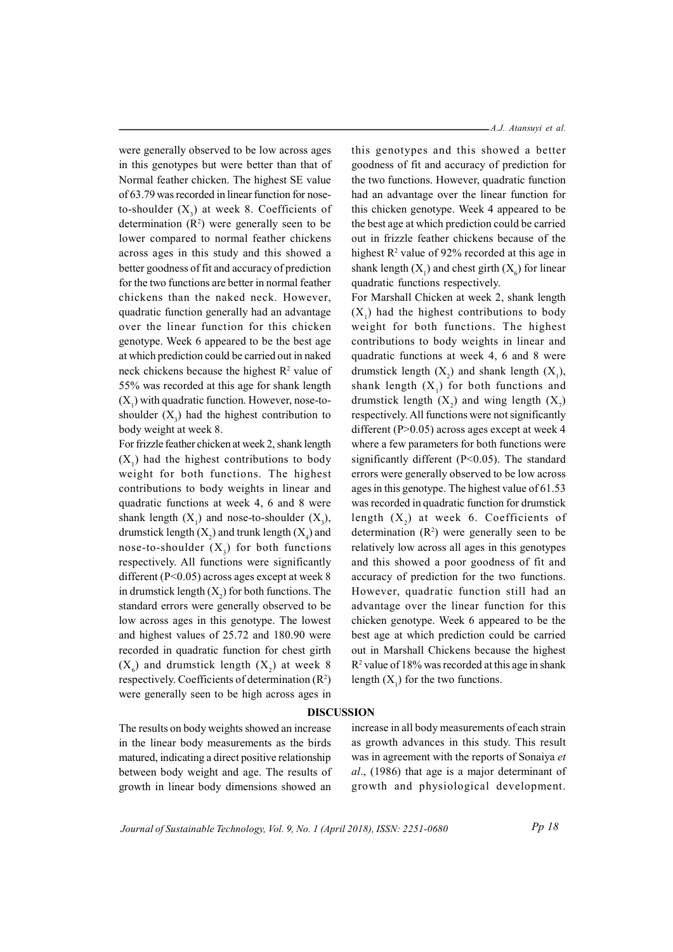were generally observed to be low across ages in this genotypes but were better than that of Normal feather chicken. The highest SE value of 63.79 was recorded in linear function for noseto-shoulder  $(X_3)$  at week 8. Coefficients of determination  $(R^2)$  were generally seen to be lower compared to normal feather chickens across ages in this study and this showed a better goodness of fit and accuracy of prediction for the two functions are better in normal feather chickens than the naked neck. However, quadratic function generally had an advantage over the linear function for this chicken genotype. Week 6 appeared to be the best age at which prediction could be carried out in naked neck chickens because the highest  $R^2$  value of 55% was recorded at this age for shank length  $(X_1)$  with quadratic function. However, nose-toshoulder  $(X_3)$  had the highest contribution to body weight at week 8.

For frizzle feather chicken at week 2, shank length  $(X_1)$  had the highest contributions to body weight for both functions. The highest contributions to body weights in linear and quadratic functions at week 4, 6 and 8 were shank length  $(X_1)$  and nose-to-shoulder  $(X_3)$ , drumstick length  $(X_2)$  and trunk length  $(X_4)$  and nose-to-shoulder  $(X_3)$  for both functions respectively. All functions were significantly different ( $P<0.05$ ) across ages except at week 8 in drumstick length  $(X_2)$  for both functions. The standard errors were generally observed to be low across ages in this genotype. The lowest and highest values of 25.72 and 180.90 were recorded in quadratic function for chest girth  $(X_6)$  and drumstick length  $(X_2)$  at week 8 respectively. Coefficients of determination  $(R^2)$ were generally seen to be high across ages in

#### A.J. Atansuyi et al.

this genotypes and this showed a better goodness of fit and accuracy of prediction for the two functions. However, quadratic function had an advantage over the linear function for this chicken genotype. Week 4 appeared to be the best age at which prediction could be carried out in frizzle feather chickens because of the highest  $\mathbb{R}^2$  value of 92% recorded at this age in shank length  $(X_1)$  and chest girth  $(X_6)$  for linear quadratic functions respectively.

For Marshall Chicken at week 2, shank length  $(X_1)$  had the highest contributions to body weight for both functions. The highest contributions to body weights in linear and quadratic functions at week 4, 6 and 8 were drumstick length  $(X_2)$  and shank length  $(X_1)$ , shank length  $(X_1)$  for both functions and drumstick length  $(X_2)$  and wing length  $(X_7)$ respectively. All functions were not significantly different (P>0.05) across ages except at week 4 where a few parameters for both functions were significantly different (P<0.05). The standard errors were generally observed to be low across ages in this genotype. The highest value of 61.53 was recorded in quadratic function for drumstick length  $(X_2)$  at week 6. Coefficients of determination  $(R^2)$  were generally seen to be relatively low across all ages in this genotypes and this showed a poor goodness of fit and accuracy of prediction for the two functions. However, quadratic function still had an advantage over the linear function for this chicken genotype. Week 6 appeared to be the best age at which prediction could be carried out in Marshall Chickens because the highest R 2 value of 18% was recorded at this age in shank length  $(X_1)$  for the two functions.

#### DISCUSSION

The results on body weights showed an increase in the linear body measurements as the birds matured, indicating a direct positive relationship between body weight and age. The results of growth in linear body dimensions showed an

increase in all body measurements of each strain as growth advances in this study. This result was in agreement with the reports of Sonaiya et al., (1986) that age is a major determinant of growth and physiological development.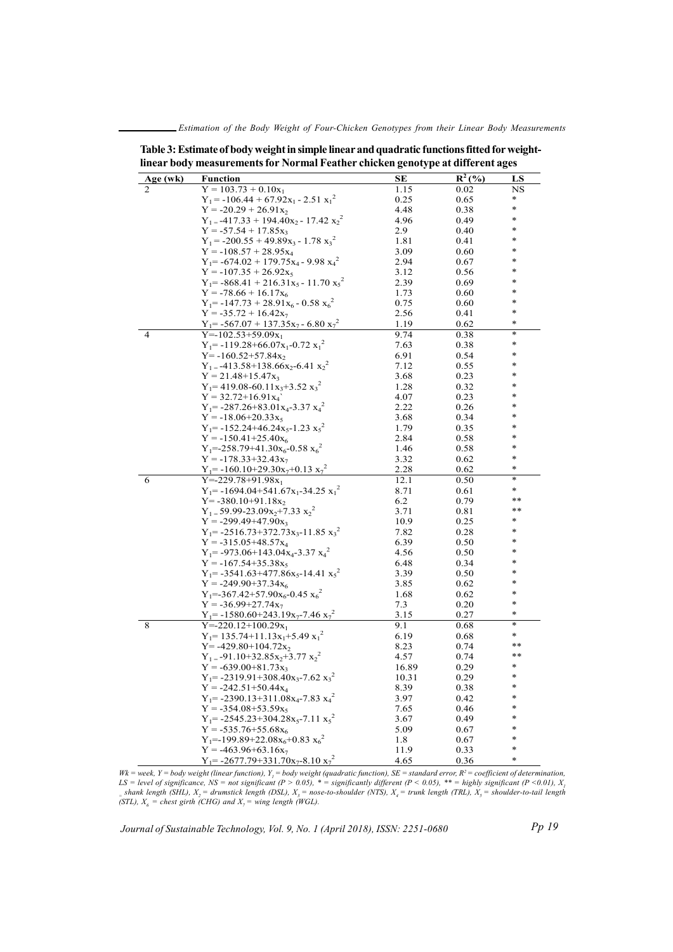Estimation of the Body Weight of Four-Chicken Genotypes from their Linear Body Measurements

|                |                                                                            | $\ddot{\phantom{0}}$<br>$\cdot$ . |           | $\mathbf{\mathcal{L}}$ |
|----------------|----------------------------------------------------------------------------|-----------------------------------|-----------|------------------------|
| Age (wk)       | <b>Function</b>                                                            | SЕ                                | $R^2$ (%) | LS                     |
| 2              | $Y = 103.73 + 0.10x_1$                                                     | 1.15                              | 0.02      | NS                     |
|                | $Y_1 = -106.44 + 67.92x_1 - 2.51x_1^2$                                     | 0.25                              | 0.65      | *                      |
|                | $Y = -20.29 + 26.91x_2$                                                    | 4.48                              | 0.38      | ∗                      |
|                | $Y_1 = -417.33 + 194.40x_2 - 17.42x_2^2$                                   | 4.96                              | 0.49      |                        |
|                | $Y = -57.54 + 17.85x_3$                                                    | 2.9                               | 0.40      |                        |
|                | $Y_1 = -200.55 + 49.89x_3 - 1.78x_3^2$                                     | 1.81                              | 0.41      |                        |
|                | $Y = -108.57 + 28.95x_4$                                                   | 3.09                              | 0.60      |                        |
|                | $Y_1 = -674.02 + 179.75x_4 - 9.98x_4^2$                                    | 2.94                              | 0.67      |                        |
|                | $Y = -107.35 + 26.92x_5$                                                   | 3.12                              | 0.56      |                        |
|                | $Y_1$ = -868.41 + 216.31x <sub>5</sub> - 11.70 x <sub>5</sub> <sup>2</sup> | 2.39                              | 0.69      |                        |
|                | $Y = -78.66 + 16.17x_6$                                                    | 1.73                              | 0.60      |                        |
|                | $Y_1 = -147.73 + 28.91x_6 - 0.58x_6^2$                                     | 0.75                              | 0.60      |                        |
|                | $Y = -35.72 + 16.42x_7$                                                    | 2.56                              | 0.41      | *                      |
|                | $Y_1 = -567.07 + 137.35x_7 - 6.80x_7^2$                                    | 1.19                              | 0.62      | *                      |
| $\overline{4}$ | $Y = -102.53 + 59.09x_1$                                                   | 9.74                              | 0.38      | ÷                      |
|                | $Y_1 = -119.28 + 66.07x_1 - 0.72x_1^2$                                     | 7.63                              | 0.38      | *                      |
|                | $Y = -160.52 + 57.84x_2$                                                   | 6.91                              | 0.54      |                        |
|                | $Y_1 = -413.58 + 138.66x_2 - 6.41x_2^2$                                    | 7.12                              | 0.55      |                        |
|                | $Y = 21.48 + 15.47x_3$                                                     | 3.68                              | 0.23      |                        |
|                | $Y_1$ = 419.08-60.11x <sub>3</sub> +3.52 x <sub>3</sub> <sup>2</sup>       | 1.28                              | 0.32      |                        |
|                | $Y = 32.72 + 16.91x_4$                                                     | 4.07                              | 0.23      |                        |
|                | $Y_1 = -287.26 + 83.01x_4 - 3.37x_4$                                       | 2.22                              | 0.26      |                        |
|                |                                                                            |                                   |           |                        |
|                | $Y = -18.06 + 20.33x_5$                                                    | 3.68                              | 0.34      |                        |
|                | $Y_1$ = -152.24+46.24x <sub>5</sub> -1.23 x <sub>5</sub> <sup>2</sup>      | 1.79                              | 0.35      |                        |
|                | $Y = -150.41 + 25.40x_6$                                                   | 2.84                              | 0.58      |                        |
|                | $Y_1 = -258.79 + 41.30x_6 - 0.58 x_6^2$                                    | 1.46                              | 0.58      |                        |
|                | $Y = -178.33 + 32.43x_7$                                                   | 3.32                              | 0.62      |                        |
|                | $Y_1 = -160.10 + 29.30x_7 + 0.13x_7^2$                                     | 2.28                              | 0.62      | *                      |
| 6              | $Y = -229.78 + 91.98x_1$                                                   | 12.1                              | 0.50      | ÷                      |
|                | $Y_1$ = -1694.04+541.67x <sub>1</sub> -34.25 x <sub>1</sub> <sup>2</sup>   | 8.71                              | 0.61      | $\ast$                 |
|                | $Y = -380.10 + 91.18x_2$                                                   | 6.2                               | 0.79      | **                     |
|                | $Y_1 = 59.99 - 23.09x_2 + 7.33x_2^2$                                       | 3.71                              | 0.81      | **                     |
|                | $Y = -299.49 + 47.90x_3$                                                   | 10.9                              | 0.25      |                        |
|                | $Y_1$ = -2516.73+372.73x <sub>3</sub> -11.85 x <sub>3</sub> <sup>2</sup>   | 7.82                              | 0.28      |                        |
|                | $Y = -315.05 + 48.57x_4$                                                   | 6.39                              | 0.50      |                        |
|                | $Y_1$ = -973.06+143.04x <sub>4</sub> -3.37 x <sub>4</sub> <sup>2</sup>     | 4.56                              | 0.50      |                        |
|                | $Y = -167.54 + 35.38x_5$                                                   | 6.48                              | 0.34      |                        |
|                | $Y_1$ = -3541.63+477.86x <sub>5</sub> -14.41 x <sub>5</sub> <sup>2</sup>   | 3.39                              | 0.50      |                        |
|                | $Y = -249.90 + 37.34x_6$                                                   | 3.85                              | 0.62      |                        |
|                | $Y_1 = -367.42 + 57.90x_6 - 0.45x_6^2$                                     | 1.68                              | 0.62      |                        |
|                | $Y = -36.99 + 27.74x_7$                                                    | 7.3                               | 0.20      | *                      |
|                | $Y_1$ = -1580.60+243.19x <sub>7</sub> -7.46 x <sub>7</sub> <sup>2</sup>    | 3.15                              | 0.27      | *                      |
| 8              | $Y = -220.12 + 100.29x_1$                                                  | 9.1                               | 0.68      | *                      |
|                | $Y_1$ = 135.74+11.13x <sub>1</sub> +5.49 x <sub>1</sub> <sup>2</sup>       | 6.19                              | 0.68      | $\ast$                 |
|                | $Y = -429.80 + 104.72x_2$                                                  | 8.23                              |           | **                     |
|                |                                                                            |                                   | 0.74      | **                     |
|                | $Y_1 = -91.10 + 32.85x_2 + 3.77x_2^2$                                      | 4.57                              | 0.74      | $\ast$                 |
|                | $Y = -639.00 + 81.73x_3$                                                   | 16.89                             | 0.29      |                        |
|                | $Y_1$ = -2319.91+308.40x <sub>3</sub> -7.62 x <sub>3</sub> <sup>2</sup>    | 10.31                             | 0.29      | $\ast$                 |
|                | $Y = -242.51 + 50.44x_4$                                                   | 8.39                              | 0.38      |                        |
|                | $Y_1$ = -2390.13+311.08x <sub>4</sub> -7.83 x <sub>4</sub> <sup>2</sup>    | 3.97                              | 0.42      | *                      |
|                | $Y = -354.08 + 53.59x_5$                                                   | 7.65                              | 0.46      | *                      |
|                | $Y_1 = -2545.23 + 304.28x_5 - 7.11x_5^2$                                   | 3.67                              | 0.49      | *                      |
|                | $Y = -535.76 + 55.68x_6$                                                   | 5.09                              | 0.67      | *                      |
|                | $Y_1 = -199.89 + 22.08x_6 + 0.83 x_6^2$                                    | 1.8                               | 0.67      | *                      |
|                | $Y = -463.96 + 63.16x_7$                                                   | 11.9                              | 0.33      | $\ast$                 |
|                | $Y_1 = -2677.79 + 331.70x_7 - 8.10x_7^2$                                   | 4.65                              | 0.36      | *                      |

Table 3: Estimate of body weight in simple linear and quadratic functions fitted for weightlinear body measurements for Normal Feather chicken genotype at different ages

Wk = week, Y = body weight (linear function), Y<sub>1</sub> = body weight (quadratic function), SE = standard error, R<sup>2</sup> = coefficient of determination, LS = level of significance, NS = not significant (P > 0.05), \* = significantly different (P < 0.05), \*\* = highly significant (P < 0.01),  $X_i$  $_5$ shank length (SHL),  $X_2$  = drumstick length (DSL),  $X_3$  = nose-to-shoulder (NTS),  $X_4$  = trunk length (TRL),  $X_5$  = shoulder-to-tail length (STL),  $X_{6}$  = chest girth (CHG) and  $X_{7}$  = wing length (WGL).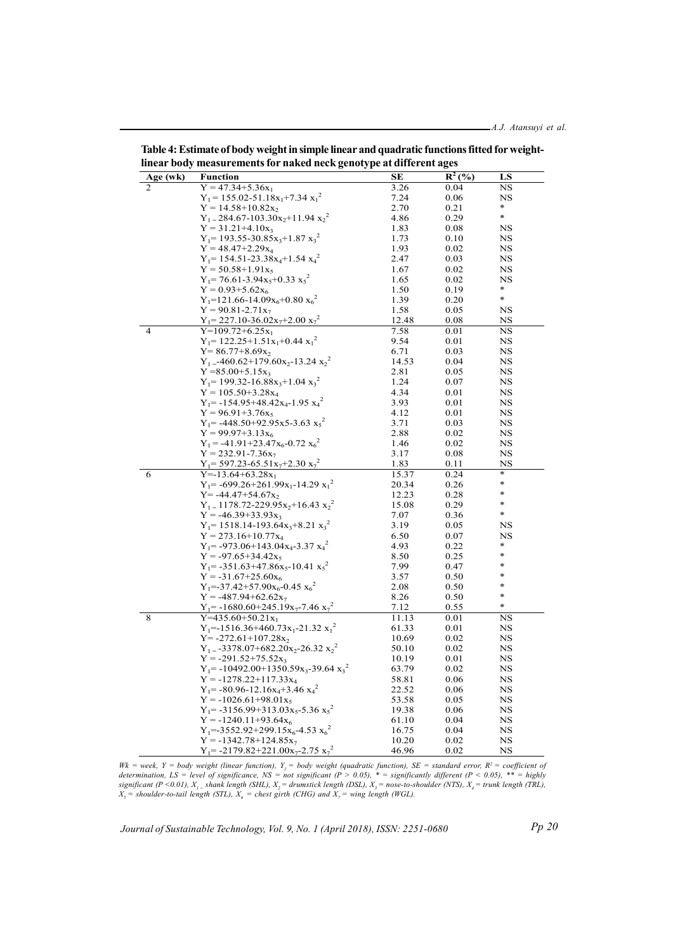| Age (wk)       | <b>Function</b>                                                            | <b>SE</b> | $R^2($ %) | LS          |
|----------------|----------------------------------------------------------------------------|-----------|-----------|-------------|
| $\overline{c}$ | $Y = 47.34 + 5.36x_1$                                                      | 3.26      | 0.04      | NS          |
|                | $Y_1 = 155.02 - 51.18x_1 + 7.34x_1^2$                                      | 7.24      | 0.06      | NS          |
|                | $Y = 14.58 + 10.82x_2$                                                     | 2.70      | 0.21      |             |
|                | $Y_1 = 284.67 - 103.30x_2 + 11.94 x_2^2$                                   | 4.86      | 0.29      | $\ast$      |
|                | $Y = 31.21 + 4.10x_3$                                                      | 1.83      | 0.08      | NS          |
|                | $Y_1$ = 193.55-30.85 $x_3$ + 1.87 $x_3$ <sup>2</sup>                       | 1.73      | 0.10      | NS          |
|                | $Y = 48.47 + 2.29x_4$                                                      | 1.93      | 0.02      | NS          |
|                | $Y_1$ = 154.51-23.38x <sub>4</sub> +1.54 x <sub>4</sub> <sup>2</sup>       | 2.47      | 0.03      | NS          |
|                | $Y = 50.58 + 1.91x_5$                                                      | 1.67      | 0.02      | NS          |
|                | $Y_1$ = 76.61-3.94x <sub>5</sub> +0.33 x <sub>5</sub> <sup>2</sup>         | 1.65      | 0.02      | NS          |
|                | $Y = 0.93 + 5.62x_6$                                                       | 1.50      | 0.19      | $\ast$      |
|                | $Y_1 = 121.66 - 14.09x_6 + 0.80x_6^2$                                      | 1.39      | 0.20      | $\ast$      |
|                | $Y = 90.81 - 2.71x_7$                                                      | 1.58      | 0.05      | NS          |
|                | $Y_1 = 227.10 - 36.02x_7 + 2.00x_7^2$                                      | 12.48     | 0.08      | NS          |
| $\overline{4}$ | $Y=109.72+6.25x_1$                                                         | 7.58      | 0.01      | NS          |
|                | $Y_1$ = 122.25+1.51x <sub>1</sub> +0.44 x <sub>1</sub> <sup>2</sup>        | 9.54      | 0.01      | NS          |
|                |                                                                            |           | 0.03      | NS          |
|                | $Y = 86.77 + 8.69x_2$                                                      | 6.71      |           |             |
|                | $Y_1 = -460.62 + 179.60x_2 - 13.24x_2^2$                                   | 14.53     | 0.04      | NS          |
|                | $Y = 85.00 + 5.15x_3$                                                      | 2.81      | 0.05      | NS          |
|                | $Y_1$ = 199.32-16.88x <sub>3</sub> +1.04 x <sub>3</sub> <sup>2</sup>       | 1.24      | 0.07      | NS          |
|                | $Y = 105.50 + 3.28x_4$                                                     | 4.34      | 0.01      | NS          |
|                | $Y_1$ = -154.95+48.42x <sub>4</sub> -1.95 x <sub>4</sub> <sup>2</sup>      | 3.93      | 0.01      | NS          |
|                | $Y = 96.91 + 3.76x_5$                                                      | 4.12      | 0.01      | NS          |
|                | $Y_1 = -448.50 + 92.95x5 - 3.63 x_5^2$                                     | 3.71      | 0.03      | NS          |
|                | $Y = 99.97 + 3.13x_6$                                                      | 2.88      | 0.02      | NS          |
|                | $Y_1 = -41.91 + 23.47x_6 - 0.72 x_6^2$                                     | 1.46      | 0.02      | NS          |
|                | $Y = 232.91 - 7.36x_7$                                                     | 3.17      | 0.08      | NS          |
|                | $Y_1$ = 597.23-65.51x <sub>7</sub> +2.30 x <sub>7</sub> <sup>2</sup>       | 1.83      | 0.11      | $_{\rm NS}$ |
| 6              | $Y = -13.64 + 63.28x_1$                                                    | 15.37     | 0.24      | $\ast$      |
|                | $Y_1 = -699.26 + 261.99x_1 - 14.29x_1^2$                                   | 20.34     | 0.26      | *           |
|                | $Y = -44.47 + 54.67x_2$                                                    | 12.23     | 0.28      | *           |
|                | $Y_1 = 1178.72 - 229.95x_2 + 16.43 x_2^2$                                  | 15.08     | 0.29      | $\ast$      |
|                | $Y = -46.39 + 33.93x_3$                                                    | 7.07      | 0.36      |             |
|                | $Y_1$ = 1518.14-193.64x <sub>3</sub> +8.21 x <sub>3</sub> <sup>2</sup>     | 3.19      | 0.05      | NS          |
|                | $Y = 273.16 + 10.77x_4$                                                    | 6.50      | 0.07      | NS          |
|                | $Y_1 = -973.06 + 143.04x_4 - 3.37x_4^2$                                    | 4.93      | 0.22      | *           |
|                | $Y = -97.65 + 34.42x_5$                                                    | 8.50      | 0.25      | $\ast$      |
|                | $Y_1$ = -351.63+47.86x <sub>5</sub> -10.41 x <sub>5</sub> <sup>2</sup>     | 7.99      | 0.47      | *           |
|                | $Y = -31.67 + 25.60x_6$                                                    | 3.57      | 0.50      | *           |
|                | $Y_1 = -37.42 + 57.90x_6 - 0.45 x_6^2$                                     | 2.08      | 0.50      | $\ast$      |
|                | $Y = -487.94 + 62.62x_7$                                                   | 8.26      | 0.50      | $\ast$      |
|                | $Y_1$ = -1680.60+245.19x <sub>7</sub> -7.46 x <sub>7</sub> <sup>2</sup>    | 7.12      | 0.55      | $\ast$      |
| 8              | $Y=435.60+50.21x_1$                                                        | 11.13     | 0.01      | $_{\rm NS}$ |
|                | $Y_1$ = -1516.36+460.73x <sub>1</sub> -21.32 x <sub>1</sub> <sup>2</sup>   |           | 0.01      | NS          |
|                |                                                                            | 61.33     |           |             |
|                | $Y = -272.61 + 107.28x_2$                                                  | 10.69     | 0.02      | NS          |
|                | $Y_1 = -3378.07 + 682.20x_2 - 26.32x_2^2$                                  | 50.10     | 0.02      | NS          |
|                | $Y = -291.52 + 75.52x_3$                                                   | 10.19     | 0.01      | NS          |
|                | $Y_1$ = -10492.00+1350.59x <sub>3</sub> -39.64 x <sub>3</sub> <sup>2</sup> | 63.79     | 0.02      | NS          |
|                | $Y = -1278.22 + 117.33x_4$                                                 | 58.81     | 0.06      | NS          |
|                | $Y_1$ = -80.96-12.16x <sub>4</sub> +3.46 x <sub>4</sub> <sup>2</sup>       | 22.52     | 0.06      | NS          |
|                | $Y = -1026.61 + 98.01x_5$                                                  | 53.58     | 0.05      | NS          |
|                | $Y_1$ = -3156.99+313.03x <sub>5</sub> -5.36 x <sub>5</sub> <sup>2</sup>    | 19.38     | 0.06      | NS          |
|                | $Y = -1240.11 + 93.64x_6$                                                  | 61.10     | 0.04      | NS          |
|                | $Y_1 = -3552.92 + 299.15x_6 - 4.53 x_6^2$                                  | 16.75     | 0.04      | NS          |
|                | $Y = -1342.78 + 124.85x_7$                                                 | 10.20     | 0.02      | NS          |
|                | $Y_1 = -2179.82 + 221.00x_7 - 2.75x_7^2$                                   | 46.96     | 0.02      | NS          |

Table 4: Estimate of body weight in simple linear and quadratic functions fitted for weightlinear body measurements for naked neck genotype at different ages

Wk = week, Y = body weight (linear function), Y<sub>1</sub> = body weight (quadratic function), SE = standard error, R<sup>2</sup> = coefficient of<br>determination, LS = level of significance, NS = not significant (P > 0.05), \* = significant significant (P <0.01),  $X_{_I}$  = shank length (SHL),  $X_{_2}$  = drumstick length (DSL),  $X_{_3}$  = nose-to-shoulder (NTS),  $X_{_4}$  = trunk length (TRL),  $X<sub>5</sub>$  = shoulder-to-tail length (STL),  $X<sub>6</sub>$  = chest girth (CHG) and  $X<sub>7</sub>$  = wing length (WGL).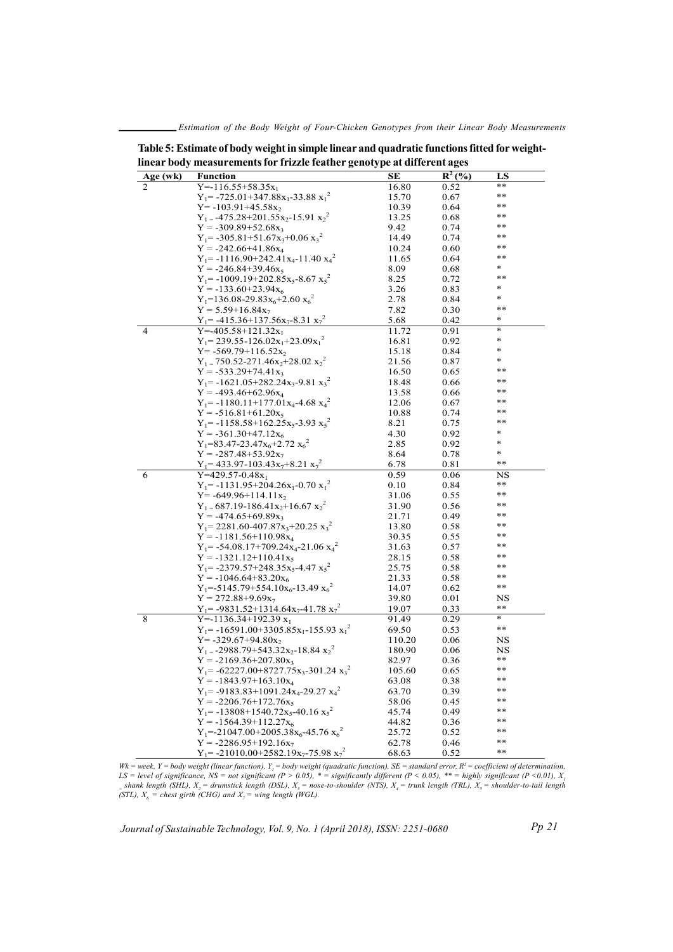Estimation of the Body Weight of Four-Chicken Genotypes from their Linear Body Measurements

| Age (wk)       | <b>Function</b>                                                             | SЕ     | $R^2$ (%) | LS     |
|----------------|-----------------------------------------------------------------------------|--------|-----------|--------|
| 2              | $Y = -116.55 + 58.35x_1$                                                    | 16.80  | 0.52      | **     |
|                | $Y_1 = -725.01 + 347.88x_1 - 33.88x_1^2$                                    | 15.70  | 0.67      | $***$  |
|                | $Y = -103.91 + 45.58x_2$                                                    | 10.39  | 0.64      | $* *$  |
|                | $Y_1 = -475.28 + 201.55x_2 - 15.91x_2^2$                                    | 13.25  | 0.68      | $***$  |
|                | $Y = -309.89 + 52.68x_3$                                                    | 9.42   | 0.74      | **     |
|                | $Y_1 = -305.81 + 51.67x_3 + 0.06x_3^2$                                      | 14.49  | 0.74      | $***$  |
|                | $Y = -242.66 + 41.86x_4$                                                    | 10.24  | 0.60      | **     |
|                | $Y_1$ = -1116.90+242.41x <sub>4</sub> -11.40 x <sub>4</sub> <sup>2</sup>    | 11.65  | 0.64      | $***$  |
|                | $Y = -246.84 + 39.46x_5$                                                    | 8.09   | 0.68      | *      |
|                | $Y_1 = -1009.19 + 202.85x_5 - 8.67x_5^2$                                    | 8.25   | 0.72      | $* *$  |
|                | $Y = -133.60 + 23.94x_6$                                                    | 3.26   | 0.83      | *      |
|                | $Y_1 = 136.08 - 29.83x_6 + 2.60 x_6^2$                                      | 2.78   | 0.84      | *      |
|                | $Y = 5.59 + 16.84x_7$                                                       | 7.82   | 0.30      | $***$  |
|                | $Y_1 = -415.36 + 137.56x_7 - 8.31x_7^2$                                     | 5.68   | 0.42      | $\ast$ |
| $\overline{4}$ | $Y = -405.58 + 121.32x_1$                                                   | 11.72  | 0.91      | $\ast$ |
|                |                                                                             |        | 0.92      | $\ast$ |
|                | $Y_1 = 239.55 - 126.02x_1 + 23.09x_1^2$                                     | 16.81  |           | *      |
|                | $Y = -569.79 + 116.52x_2$                                                   | 15.18  | 0.84      | *      |
|                | $Y_1 = 750.52 - 271.46x_2 + 28.02 x_2^2$                                    | 21.56  | 0.87      | $* *$  |
|                | $Y = -533.29 + 74.41x_3$                                                    | 16.50  | 0.65      |        |
|                | $Y_1 = -1621.05 + 282.24x_3 - 9.81x_3^2$                                    | 18.48  | 0.66      | $***$  |
|                | $Y = -493.46 + 62.96x_4$                                                    | 13.58  | 0.66      | $***$  |
|                | $Y_1 = -1180.11 + 177.01x_4 - 4.68x_4^2$                                    | 12.06  | 0.67      | $***$  |
|                | $Y = -516.81 + 61.20x_5$                                                    | 10.88  | 0.74      | $* *$  |
|                | $Y_1 = -1158.58 + 162.25x_5 - 3.93x_5$                                      | 8.21   | 0.75      | $***$  |
|                | $Y = -361.30 + 47.12x_6$                                                    | 4.30   | 0.92      | *      |
|                | $Y_1 = 83.47 - 23.47x_6 + 2.72 x_6^2$                                       | 2.85   | 0.92      | $\ast$ |
|                | $Y = -287.48 + 53.92x_7$                                                    | 8.64   | 0.78      | $\ast$ |
|                | $Y_1$ = 433.97-103.43x <sub>7</sub> +8.21 x <sub>7</sub> <sup>2</sup>       | 6.78   | 0.81      | $***$  |
| 6              | $Y=429.57-0.48x_1$                                                          | 0.59   | 0.06      | NS     |
|                | $Y_1 = -1131.95 + 204.26x_1 - 0.70x_1^2$                                    | 0.10   | 0.84      | $***$  |
|                | $Y = -649.96 + 114.11x_2$                                                   | 31.06  | 0.55      | $***$  |
|                | $Y_1 = 687.19 - 186.41x_2 + 16.67x_2^2$                                     | 31.90  | 0.56      | $* *$  |
|                | $Y = -474.65 + 69.89x_3$                                                    | 21.71  | 0.49      | **     |
|                | $Y_1 = 2281.60 - 407.87x_3 + 20.25 x_3^2$                                   | 13.80  | 0.58      | **     |
|                | $Y = -1181.56 + 110.98x_4$                                                  | 30.35  | 0.55      | $***$  |
|                |                                                                             |        |           | $* *$  |
|                | $Y_1 = -54.08.17 + 709.24x_4 - 21.06x_4^2$                                  | 31.63  | 0.57      | $***$  |
|                | $Y = -1321.12 + 110.41x_5$                                                  | 28.15  | 0.58      | **     |
|                | $Y_1$ = -2379.57+248.35x <sub>5</sub> -4.47 x <sub>5</sub> <sup>2</sup>     | 25.75  | 0.58      |        |
|                | $Y = -1046.64 + 83.20x_6$                                                   | 21.33  | 0.58      | $***$  |
|                | $Y_1 = -5145.79 + 554.10x_6 - 13.49 x_6^2$                                  | 14.07  | 0.62      | **     |
|                | $Y = 272.88 + 9.69x_7$                                                      | 39.80  | 0.01      | NS     |
|                | $Y_1$ = -9831.52+1314.64x <sub>7</sub> -41.78 x <sub>7</sub> <sup>2</sup>   | 19.07  | 0.33      | $***$  |
| 8              | Y=-1136.34+192.39 $x_1$                                                     | 91.49  | 0.29      | $\ast$ |
|                | $Y_1$ = -16591.00+3305.85x <sub>1</sub> -155.93 x <sub>1</sub> <sup>2</sup> | 69.50  | 0.53      | $***$  |
|                | $Y = -329.67 + 94.80x_2$                                                    | 110.20 | 0.06      | NS     |
|                | $Y_1 = -2988.79 + 543.32x_2 - 18.84x_2^2$                                   | 180.90 | 0.06      | NS     |
|                | $Y = -2169.36 + 207.80x_3$                                                  | 82.97  | 0.36      | **     |
|                | $Y_1$ = -62227.00+8727.75x <sub>3</sub> -301.24 x <sub>3</sub> <sup>2</sup> | 105.60 | 0.65      | $***$  |
|                | $Y = -1843.97 + 163.10x_4$                                                  | 63.08  | 0.38      | $***$  |
|                | $Y_1$ = -9183.83+1091.24x <sub>4</sub> -29.27 x <sub>4</sub> <sup>2</sup>   | 63.70  | 0.39      | $* *$  |
|                | $Y = -2206.76 + 172.76x_5$                                                  |        | 0.45      | $* *$  |
|                |                                                                             | 58.06  |           | $***$  |
|                | $Y_1$ = -13808+1540.72x <sub>5</sub> -40.16 x <sub>5</sub> <sup>2</sup>     | 45.74  | 0.49      | $***$  |
|                | $Y = -1564.39 + 112.27x_6$                                                  | 44.82  | 0.36      | $***$  |
|                | $Y_1 = -21047.00 + 2005.38x_6 - 45.76x_6^2$                                 | 25.72  | 0.52      |        |
|                | $Y = -2286.95 + 192.16x_7$                                                  | 62.78  | 0.46      | $* *$  |
|                | $Y_1$ = -21010.00+2582.19x <sub>7</sub> -75.98 x <sub>7</sub> <sup>2</sup>  | 68.63  | 0.52      | $***$  |

Table 5: Estimate of body weight in simple linear and quadratic functions fitted for weightlinear body measurements for frizzle feather genotype at different ages

Wk = week, Y = body weight (linear function), Y<sub>1</sub> = body weight (quadratic function), SE = standard error, R<sup>2</sup> = coefficient of determination, LS = level of significance, NS = not significant (P > 0.05), \* = significantly different (P < 0.05), \*\* = highly significant (P < 0.01),  $X_i$  $_5$  shank length (SHL),  $X_2$  = drumstick length (DSL),  $X_3$  = nose-to-shoulder (NTS),  $X_4$  = trunk length (TRL),  $X_5$  = shoulder-to-tail length (STL),  $X_{\delta}$  = chest girth (CHG) and  $X_{\gamma}$  = wing length (WGL).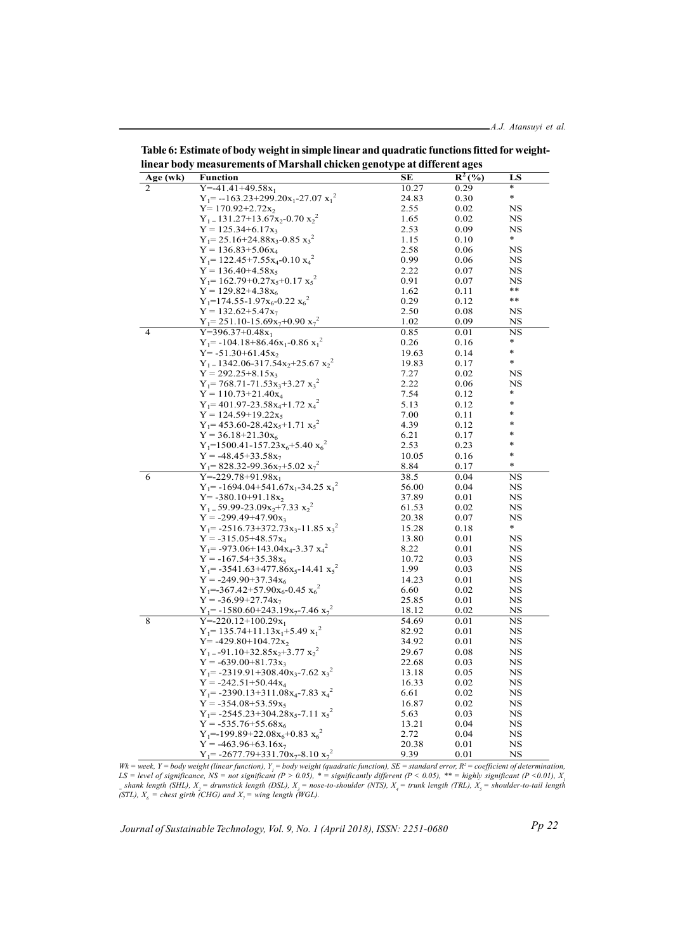| $\cdots$ |                                                                          |               |           |             |
|----------|--------------------------------------------------------------------------|---------------|-----------|-------------|
| Age (wk) | <b>Function</b>                                                          | SЕ            | $R^2$ (%) | LS          |
| 2        | $Y = -41.41 + 49.58x_1$                                                  | 10.27         | 0.29      | *           |
|          | $Y_1 = -163.23 + 299.20x_1 - 27.07 x_1^2$                                | 24.83         | 0.30      | $\ast$      |
|          | $Y = 170.92 + 2.72x_2$                                                   | 2.55          | 0.02      | NS          |
|          | $Y_1 = 131.27 + 13.67x_2 - 0.70x_2^2$                                    | 1.65          | 0.02      | NS          |
|          | $Y = 125.34 + 6.17x_3$                                                   | 2.53          | 0.09      | NS          |
|          | $Y_1 = 25.16 + 24.88x_3 - 0.85x_3^2$                                     | 1.15          | 0.10      | *           |
|          | $Y = 136.83 + 5.06x_4$                                                   | 2.58          | 0.06      | NS          |
|          | $Y_1$ = 122.45+7.55 $x_4$ -0.10 $x_4^2$                                  | 0.99          | 0.06      | NS          |
|          | $Y = 136.40 + 4.58x_5$                                                   | 2.22          | 0.07      | NS          |
|          | $Y_1 = 162.79 + 0.27x_5 + 0.17x_5^2$                                     | 0.91          | 0.07      | NS          |
|          | $Y = 129.82 + 4.38x_6$                                                   | 1.62          | 0.11      | **          |
|          | $Y_1$ =174.55-1.97x <sub>6</sub> -0.22 x <sub>6</sub> <sup>2</sup>       | 0.29          | 0.12      | **          |
|          | $Y = 132.62 + 5.47x_7$                                                   | 2.50          | 0.08      | NS          |
|          | $Y_1 = 251.10 - 15.69x_7 + 0.90x_7$                                      | 1.02          | 0.09      | NS          |
| 4        | $Y=396.37+0.48x_1$                                                       | 0.85          | 0.01      | $_{\rm NS}$ |
|          | $Y_1$ = -104.18+86.46x <sub>1</sub> -0.86 x <sub>1</sub> <sup>2</sup>    | 0.26          | 0.16      | $\ast$      |
|          |                                                                          |               |           | *           |
|          | $Y = -51.30 + 61.45x_2$                                                  | 19.63         | 0.14      | $\ast$      |
|          | $Y_1 = 1342.06 - 317.54x_2 + 25.67x_2^2$                                 | 19.83         | 0.17      |             |
|          | $Y = 292.25 + 8.15x_3$                                                   | 7.27          | 0.02      | NS          |
|          | $Y_1$ = 768.71-71.53x <sub>3</sub> +3.27 x <sub>3</sub> <sup>2</sup>     | 2.22          | 0.06      | NS          |
|          | $Y = 110.73 + 21.40x_4$                                                  | 7.54          | 0.12      | *           |
|          | $Y_1 = 401.97 - 23.58x_4 + 1.72x_4^2$                                    | 5.13          | 0.12      | *           |
|          | $Y = 124.59 + 19.22x_5$                                                  | 7.00          | 0.11      | *           |
|          | $Y_1$ = 453.60-28.42x <sub>5</sub> +1.71 x <sub>5</sub> <sup>2</sup>     | 4.39          | 0.12      | *           |
|          | $Y = 36.18 + 21.30x_6$                                                   | 6.21          | 0.17      | *           |
|          | $Y_1 = 1500.41 - 157.23x_6 + 5.40x_6^2$                                  | 2.53          | 0.23      | *           |
|          | $Y = -48.45 + 33.58x_7$                                                  | 10.05         | 0.16      | *           |
|          | $Y_1 = 828.32 - 99.36x_7 + 5.02 x_7^2$                                   | 8.84          | 0.17      | $\ast$      |
| 6        | $Y = -229.78 + 91.98x_1$                                                 | 38.5          | 0.04      | NS          |
|          | $Y_1$ = -1694.04+541.67x <sub>1</sub> -34.25 x <sub>1</sub> <sup>2</sup> | 56.00         | 0.04      | NS          |
|          | $Y = -380.10 + 91.18x_2$                                                 | 37.89         | 0.01      | NS          |
|          | $Y_1 = 59.99 - 23.09x_2 + 7.33x_2^2$                                     | 61.53         | 0.02      | NS          |
|          | $Y = -299.49 + 47.90x_3$                                                 | 20.38         | 0.07      | NS          |
|          | $Y_1 = -2516.73 + 372.73x_3 - 11.85x_3^2$                                | 15.28         | 0.18      | *           |
|          | $Y = -315.05 + 48.57x_4$                                                 | 13.80         | 0.01      | NS          |
|          | $Y_1 = -973.06 + 143.04x_4 - 3.37x_4^2$                                  | 8.22          | 0.01      | NS.         |
|          | $Y = -167.54 + 35.38x_5$                                                 | 10.72         | 0.03      | NS.         |
|          | $Y_1 = -3541.63 + 477.86x_5 - 14.41x_5$                                  | 1.99          | 0.03      | NS          |
|          | $Y = -249.90 + 37.34x_6$                                                 | 14.23         | 0.01      | NS          |
|          | $Y_1 = -367.42 + 57.90x_6 - 0.45x_6^2$                                   |               | 0.02      | NS          |
|          |                                                                          | 6.60<br>25.85 |           | NS          |
|          | $Y = -36.99 + 27.74x_7$                                                  |               | 0.01      |             |
|          | $Y_1$ = -1580.60+243.19x <sub>7</sub> -7.46 x <sub>7</sub> <sup>2</sup>  | 18.12         | 0.02      | NS          |
| 8        | $Y = -220.12 + 100.29x_1$                                                | 54.69         | 0.01      | NS          |
|          | $Y_1$ = 135.74+11.13x <sub>1</sub> +5.49 x <sub>1</sub> <sup>2</sup>     | 82.92         | 0.01      | NS.         |
|          | $Y = -429.80 + 104.72x_2$                                                | 34.92         | 0.01      | NS          |
|          | $Y_1 = -91.10 + 32.85x_2 + 3.77x_2^2$                                    | 29.67         | 0.08      | NS          |
|          | $Y = -639.00 + 81.73x_3$                                                 | 22.68         | 0.03      | NS          |
|          | $Y_1 = -2319.91 + 308.40x_3 - 7.62x_3^2$                                 | 13.18         | 0.05      | NS.         |
|          | $Y = -242.51 + 50.44x_4$                                                 | 16.33         | 0.02      | NS          |
|          | $Y_1 = -2390.13 + 311.08x_4 - 7.83x_4^2$                                 | 6.61          | 0.02      | NS          |
|          | $Y = -354.08 + 53.59x_5$                                                 | 16.87         | 0.02      | NS          |
|          | $Y_1 = -2545.23 + 304.28x_5 - 7.11x_5^2$                                 | 5.63          | 0.03      | NS          |
|          | $Y = -535.76 + 55.68x_6$                                                 | 13.21         | 0.04      | NS          |
|          | $Y_1 = -199.89 + 22.08x_6 + 0.83 x_6^2$                                  | 2.72          | 0.04      | NS          |
|          | $Y = -463.96 + 63.16x_7$                                                 | 20.38         | 0.01      | NS          |
|          | $Y_1 = -2677.79 + 331.70x_7 - 8.10x_7^2$                                 | 9.39          | 0.01      | NS          |
|          |                                                                          |               |           |             |

Table 6: Estimate of body weight in simple linear and quadratic functions fitted for weightlinear body measurements of Marshall chicken genotype at different ages

Wk = week, Y = body weight (linear function), Y<sub>1</sub> = body weight (quadratic function), SE = standard error, R<sup>2</sup> = coefficient of determination, LS = level of significance, NS = not significant (P > 0.05), \* = significantly different (P < 0.05), \*\* = highly significant (P < 0.01),  $X_i$  $_5$ shank length (SHL),  $X_2$  = drumstick length (DSL),  $X_3$  = nose-to-shoulder (NTS),  $X_4$  = trunk length (TRL),  $X_5$  = shoulder-to-tail length (STL),  $X_{6}$  = chest girth (CHG) and  $X_{7}$  = wing length (WGL).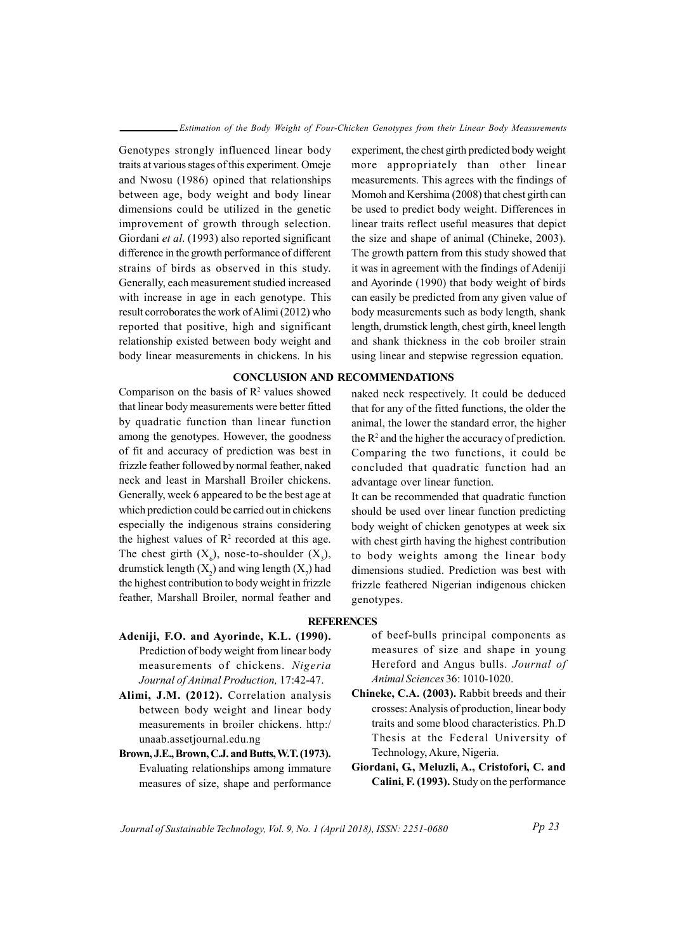Genotypes strongly influenced linear body traits at various stages of this experiment. Omeje and Nwosu (1986) opined that relationships between age, body weight and body linear dimensions could be utilized in the genetic improvement of growth through selection. Giordani et al. (1993) also reported significant difference in the growth performance of different strains of birds as observed in this study. Generally, each measurement studied increased with increase in age in each genotype. This result corroborates the work of Alimi (2012) who reported that positive, high and significant relationship existed between body weight and body linear measurements in chickens. In his

### CONCLUSION AND RECOMMENDATIONS

Comparison on the basis of  $\mathbb{R}^2$  values showed that linear body measurements were better fitted by quadratic function than linear function among the genotypes. However, the goodness of fit and accuracy of prediction was best in frizzle feather followed by normal feather, naked neck and least in Marshall Broiler chickens. Generally, week 6 appeared to be the best age at which prediction could be carried out in chickens especially the indigenous strains considering the highest values of  $\mathbb{R}^2$  recorded at this age. The chest girth  $(X_6)$ , nose-to-shoulder  $(X_3)$ , drumstick length  $(X_2)$  and wing length  $(X_7)$  had the highest contribution to body weight in frizzle feather, Marshall Broiler, normal feather and

experiment, the chest girth predicted body weight more appropriately than other linear measurements. This agrees with the findings of Momoh and Kershima (2008) that chest girth can be used to predict body weight. Differences in linear traits reflect useful measures that depict the size and shape of animal (Chineke, 2003). The growth pattern from this study showed that it was in agreement with the findings of Adeniji and Ayorinde (1990) that body weight of birds can easily be predicted from any given value of body measurements such as body length, shank length, drumstick length, chest girth, kneel length and shank thickness in the cob broiler strain using linear and stepwise regression equation.

naked neck respectively. It could be deduced that for any of the fitted functions, the older the animal, the lower the standard error, the higher the  $R<sup>2</sup>$  and the higher the accuracy of prediction. Comparing the two functions, it could be concluded that quadratic function had an advantage over linear function.

It can be recommended that quadratic function should be used over linear function predicting body weight of chicken genotypes at week six with chest girth having the highest contribution to body weights among the linear body dimensions studied. Prediction was best with frizzle feathered Nigerian indigenous chicken genotypes.

### **REFERENCES**

- Adeniji, F.O. and Ayorinde, K.L. (1990). Prediction of body weight from linear body measurements of chickens. Nigeria Journal of Animal Production, 17:42-47.
- Alimi, J.M. (2012). Correlation analysis between body weight and linear body measurements in broiler chickens. http:/ unaab.assetjournal.edu.ng
- Brown, J.E., Brown, C.J. and Butts, W.T. (1973). Evaluating relationships among immature measures of size, shape and performance

of beef-bulls principal components as measures of size and shape in young Hereford and Angus bulls. Journal of Animal Sciences 36: 1010-1020.

- Chineke, C.A. (2003). Rabbit breeds and their crosses: Analysis of production, linear body traits and some blood characteristics. Ph.D Thesis at the Federal University of Technology, Akure, Nigeria.
- Giordani, G., Meluzli, A., Cristofori, C. and Calini, F. (1993). Study on the performance